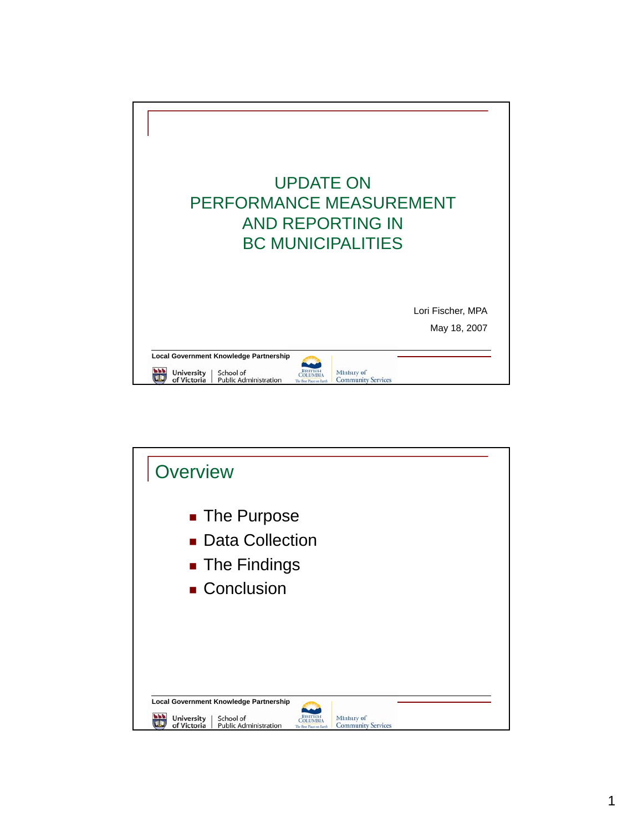

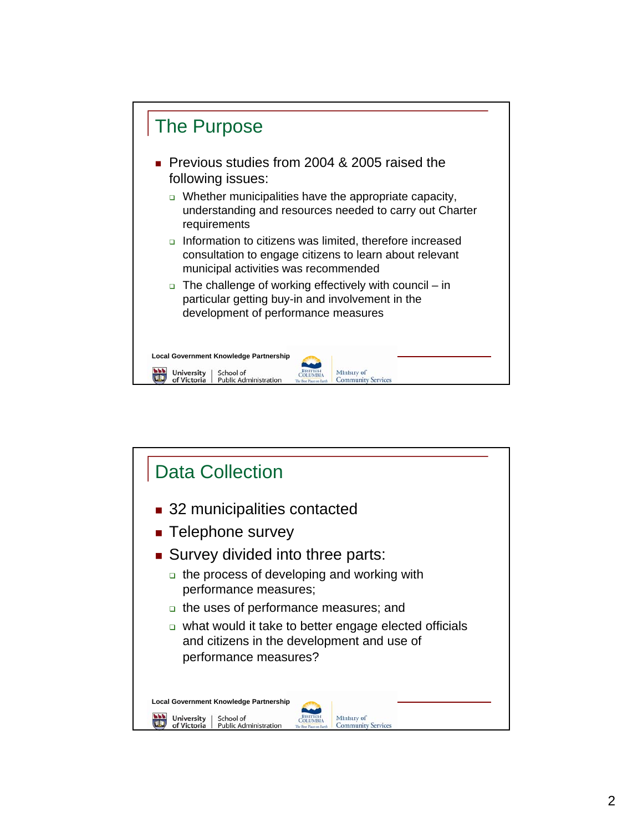

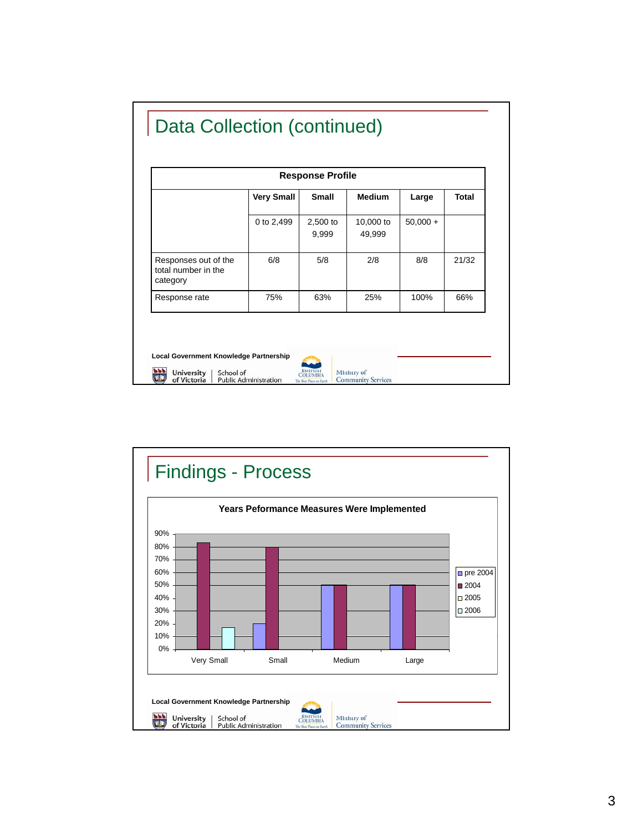| <b>Response Profile</b>                                 |                   |                   |                     |            |              |
|---------------------------------------------------------|-------------------|-------------------|---------------------|------------|--------------|
|                                                         | <b>Very Small</b> | <b>Small</b>      | <b>Medium</b>       | Large      | <b>Total</b> |
|                                                         | 0 to 2,499        | 2,500 to<br>9,999 | 10,000 to<br>49,999 | $50,000 +$ |              |
| Responses out of the<br>total number in the<br>category | 6/8               | 5/8               | 2/8                 | 8/8        | 21/32        |
| Response rate                                           | 75%               | 63%               | 25%                 | 100%       | 66%          |

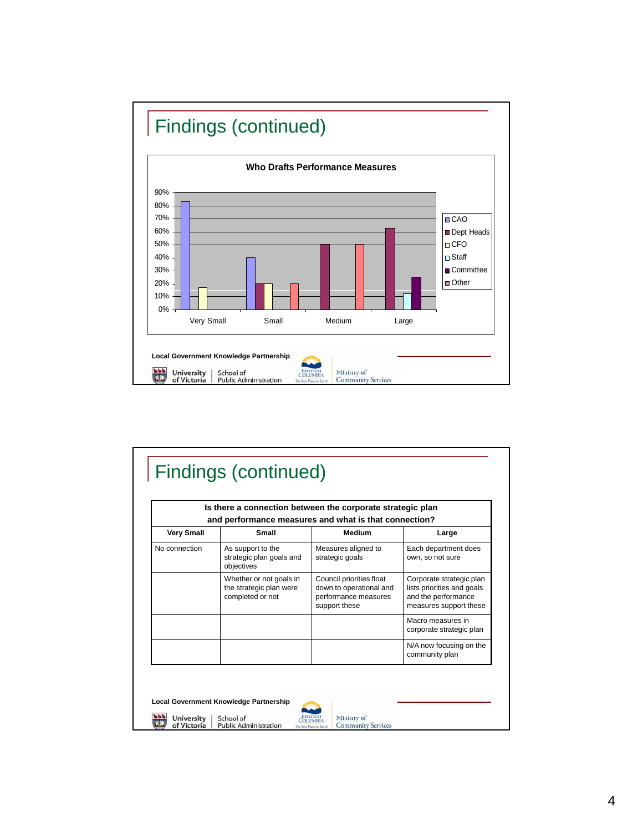

|                   | and performance measures and what is that connection?                  | Is there a connection between the corporate strategic plan                                   |                                                                                                         |
|-------------------|------------------------------------------------------------------------|----------------------------------------------------------------------------------------------|---------------------------------------------------------------------------------------------------------|
| <b>Very Small</b> | Small                                                                  | Medium                                                                                       | Large                                                                                                   |
| No connection     | As support to the<br>strategic plan goals and<br>objectives            | Measures aligned to<br>strategic goals                                                       | Each department does<br>own, so not sure                                                                |
|                   | Whether or not goals in<br>the strategic plan were<br>completed or not | Council priorities float<br>down to operational and<br>performance measures<br>support these | Corporate strategic plan<br>lists priorities and goals<br>and the performance<br>measures support these |
|                   |                                                                        |                                                                                              | Macro measures in<br>corporate strategic plan                                                           |
|                   |                                                                        |                                                                                              | N/A now focusing on the<br>community plan                                                               |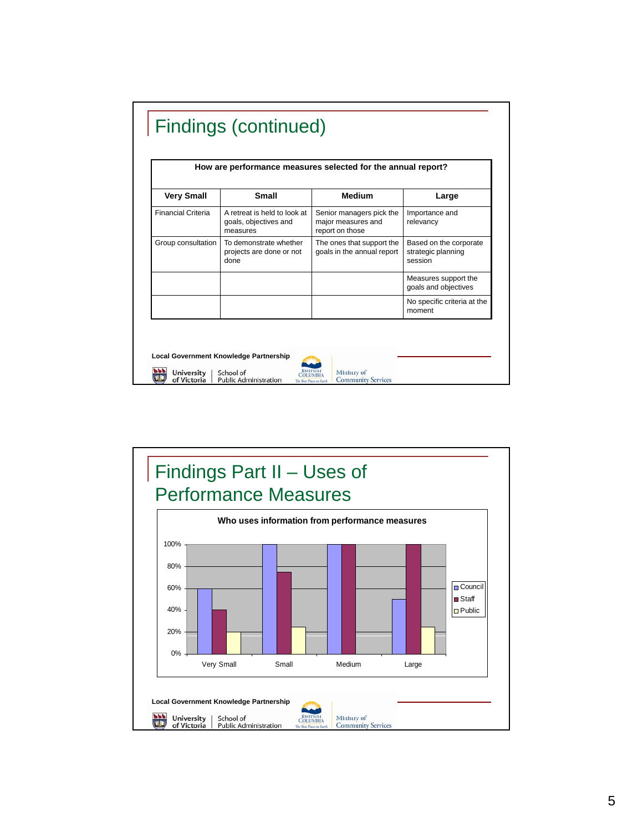| <b>Very Small</b>         | <b>Small</b>                                                      | <b>Medium</b>                                                     | Large                                                   |
|---------------------------|-------------------------------------------------------------------|-------------------------------------------------------------------|---------------------------------------------------------|
| <b>Financial Criteria</b> | A retreat is held to look at<br>goals, objectives and<br>measures | Senior managers pick the<br>major measures and<br>report on those | Importance and<br>relevancy                             |
| Group consultation        | To demonstrate whether<br>projects are done or not<br>done        | The ones that support the<br>goals in the annual report           | Based on the corporate<br>strategic planning<br>session |
|                           |                                                                   |                                                                   | Measures support the<br>goals and objectives            |
|                           |                                                                   |                                                                   | No specific criteria at the<br>moment                   |

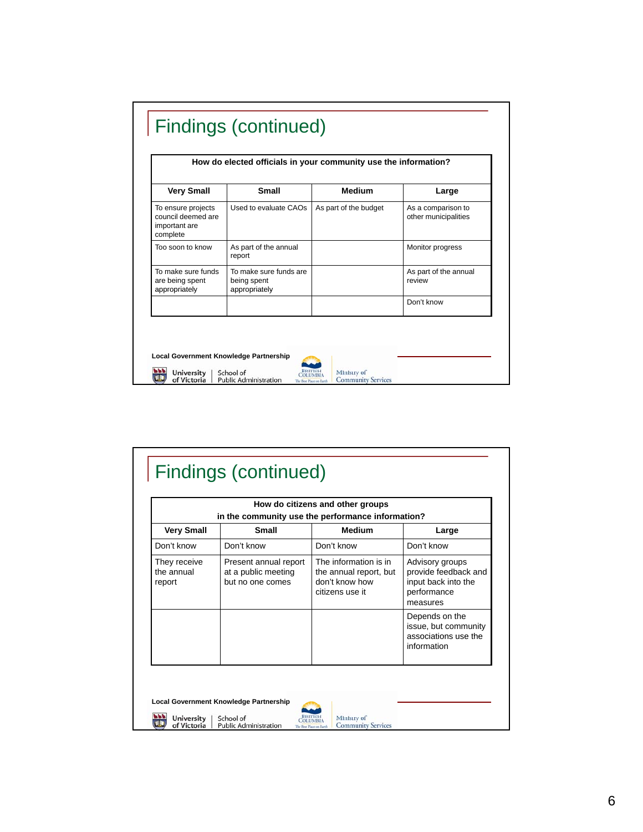| <b>Very Small</b>                                                     | <b>Small</b>                                           | <b>Medium</b>         | Large                                      |
|-----------------------------------------------------------------------|--------------------------------------------------------|-----------------------|--------------------------------------------|
| To ensure projects<br>council deemed are<br>important are<br>complete | Used to evaluate CAOs                                  | As part of the budget | As a comparison to<br>other municipalities |
| Too soon to know                                                      | As part of the annual<br>report                        |                       | Monitor progress                           |
| To make sure funds<br>are being spent<br>appropriately                | To make sure funds are<br>being spent<br>appropriately |                       | As part of the annual<br>review            |
|                                                                       |                                                        |                       | Don't know                                 |

|                                      | in the community use the performance information?                | How do citizens and other groups                                                     |                                                                                           |
|--------------------------------------|------------------------------------------------------------------|--------------------------------------------------------------------------------------|-------------------------------------------------------------------------------------------|
| <b>Very Small</b>                    | <b>Small</b>                                                     | <b>Medium</b>                                                                        | Large                                                                                     |
| Don't know                           | Don't know                                                       | Don't know                                                                           | Don't know                                                                                |
| They receive<br>the annual<br>report | Present annual report<br>at a public meeting<br>but no one comes | The information is in<br>the annual report, but<br>don't know how<br>citizens use it | Advisory groups<br>provide feedback and<br>input back into the<br>performance<br>measures |
|                                      |                                                                  |                                                                                      | Depends on the<br>issue, but community<br>associations use the<br>information             |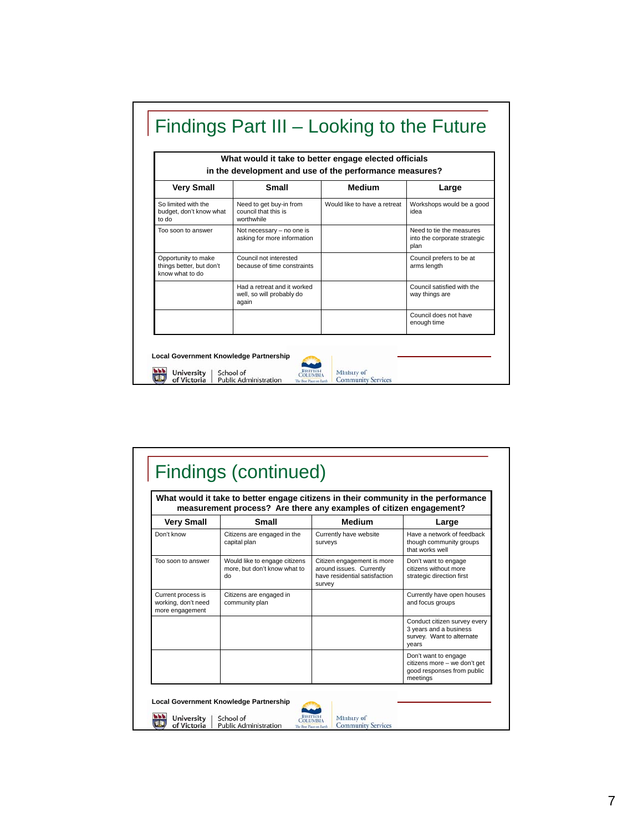|                                                                    | What would it take to better engage elected officials<br>in the development and use of the performance measures? |                              |                                                                  |  |  |
|--------------------------------------------------------------------|------------------------------------------------------------------------------------------------------------------|------------------------------|------------------------------------------------------------------|--|--|
| <b>Very Small</b>                                                  | <b>Small</b>                                                                                                     | <b>Medium</b>                | Large                                                            |  |  |
| So limited with the<br>budget, don't know what<br>to do            | Need to get buy-in from<br>council that this is<br>worthwhile                                                    | Would like to have a retreat | Workshops would be a good<br>idea                                |  |  |
| Too soon to answer                                                 | Not necessary - no one is<br>asking for more information                                                         |                              | Need to tie the measures<br>into the corporate strategic<br>plan |  |  |
| Opportunity to make<br>things better, but don't<br>know what to do | Council not interested<br>because of time constraints                                                            |                              | Council prefers to be at<br>arms length                          |  |  |
|                                                                    | Had a retreat and it worked<br>well, so will probably do<br>again                                                |                              | Council satisfied with the<br>way things are                     |  |  |
|                                                                    |                                                                                                                  |                              | Council does not have<br>enough time                             |  |  |

|                                                                                | What would it take to better engage citizens in their community in the performance<br>measurement process? Are there any examples of citizen engagement? |                                                                                                   |                                                                                                |
|--------------------------------------------------------------------------------|----------------------------------------------------------------------------------------------------------------------------------------------------------|---------------------------------------------------------------------------------------------------|------------------------------------------------------------------------------------------------|
| <b>Very Small</b>                                                              | <b>Small</b>                                                                                                                                             | <b>Medium</b>                                                                                     | Large                                                                                          |
| Don't know                                                                     | Citizens are engaged in the<br>capital plan                                                                                                              | Currently have website<br>surveys                                                                 | Have a network of feedback<br>though community groups<br>that works well                       |
| Too soon to answer                                                             | Would like to engage citizens<br>more, but don't know what to<br>do                                                                                      | Citizen engagement is more<br>around issues. Currently<br>have residential satisfaction<br>survey | Don't want to engage<br>citizens without more<br>strategic direction first                     |
| Current process is<br>working, don't need<br>community plan<br>more engagement | Citizens are engaged in                                                                                                                                  |                                                                                                   | Currently have open houses<br>and focus groups                                                 |
|                                                                                |                                                                                                                                                          |                                                                                                   | Conduct citizen survey every<br>3 years and a business<br>survey. Want to alternate<br>years   |
|                                                                                |                                                                                                                                                          |                                                                                                   | Don't want to engage<br>citizens more - we don't get<br>good responses from public<br>meetings |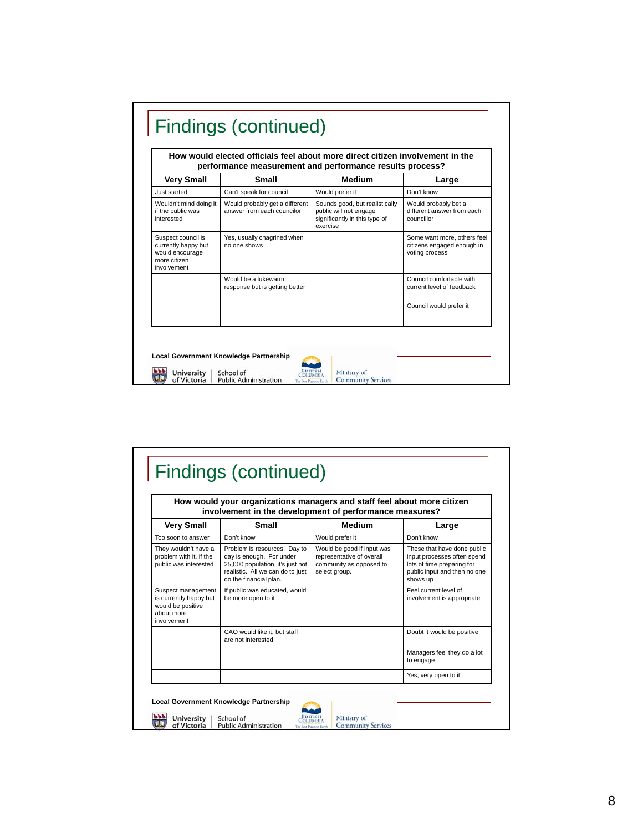| Medium<br>Small<br><b>Very Small</b><br>Don't know<br>Just started<br>Can't speak for council<br>Would prefer it<br>Would probably bet a<br>Wouldn't mind doing it<br>Would probably get a different<br>Sounds good, but realistically<br>answer from each councilor<br>if the public was<br>public will not engage<br>significantly in this type of<br>interested<br>councillor | Large                                                     |
|----------------------------------------------------------------------------------------------------------------------------------------------------------------------------------------------------------------------------------------------------------------------------------------------------------------------------------------------------------------------------------|-----------------------------------------------------------|
|                                                                                                                                                                                                                                                                                                                                                                                  |                                                           |
|                                                                                                                                                                                                                                                                                                                                                                                  |                                                           |
| exercise                                                                                                                                                                                                                                                                                                                                                                         | different answer from each                                |
| Yes, usually chagrined when<br>Suspect council is<br>currently happy but<br>no one shows<br>would encourage<br>voting process<br>more citizen<br>involvement                                                                                                                                                                                                                     | Some want more, others feel<br>citizens engaged enough in |
| Would be a lukewarm<br>response but is getting better                                                                                                                                                                                                                                                                                                                            | Council comfortable with<br>current level of feedback     |
|                                                                                                                                                                                                                                                                                                                                                                                  | Council would prefer it                                   |

|                                                                                                | How would your organizations managers and staff feel about more citizen<br>involvement in the development of performance measures?                         |                                                                                                     |                                                                                                                                      |
|------------------------------------------------------------------------------------------------|------------------------------------------------------------------------------------------------------------------------------------------------------------|-----------------------------------------------------------------------------------------------------|--------------------------------------------------------------------------------------------------------------------------------------|
| <b>Very Small</b>                                                                              | <b>Small</b>                                                                                                                                               | <b>Medium</b>                                                                                       | Large                                                                                                                                |
| Too soon to answer                                                                             | Don't know                                                                                                                                                 | Would prefer it                                                                                     | Don't know                                                                                                                           |
| They wouldn't have a<br>problem with it, if the<br>public was interested                       | Problem is resources. Day to<br>day is enough. For under<br>25,000 population, it's just not<br>realistic. All we can do to just<br>do the financial plan. | Would be good if input was<br>representative of overall<br>community as opposed to<br>select group. | Those that have done public<br>input processes often spend<br>lots of time preparing for<br>public input and then no one<br>shows up |
| Suspect management<br>is currently happy but<br>would be positive<br>about more<br>involvement | If public was educated, would<br>be more open to it                                                                                                        |                                                                                                     | Feel current level of<br>involvement is appropriate                                                                                  |
|                                                                                                | CAO would like it, but staff<br>are not interested                                                                                                         |                                                                                                     | Doubt it would be positive                                                                                                           |
|                                                                                                |                                                                                                                                                            |                                                                                                     | Managers feel they do a lot<br>to engage                                                                                             |
|                                                                                                |                                                                                                                                                            |                                                                                                     | Yes, very open to it                                                                                                                 |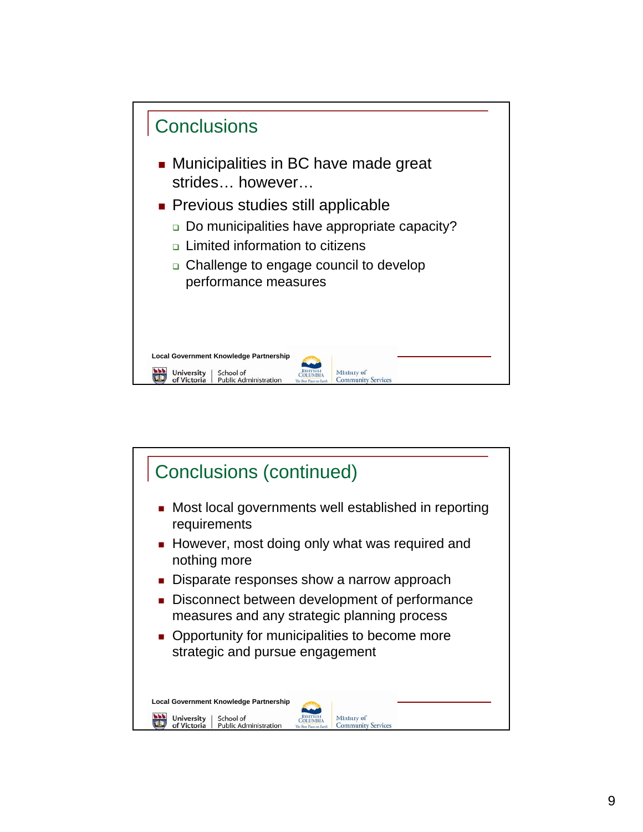